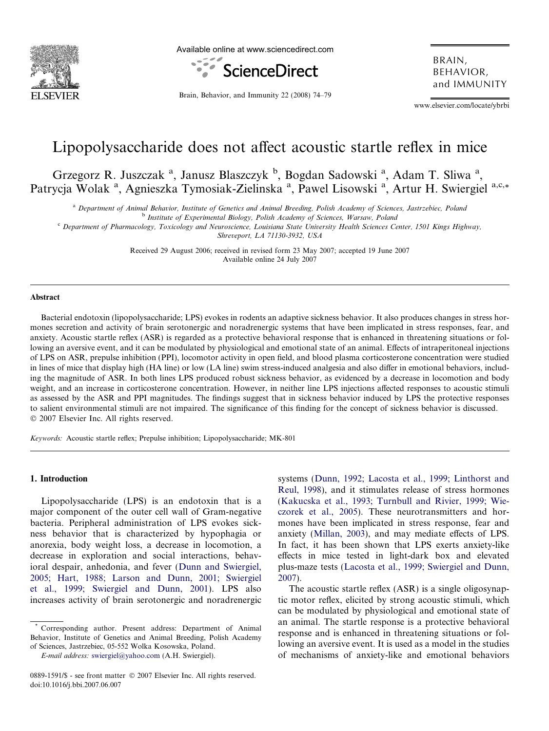

Available online at www.sciencedirect.com



BRAIN, BEHAVIOR, and IMMUNITY

Brain, Behavior, and Immunity 22 (2008) 74–79

www.elsevier.com/locate/ybrbi

# Lipopolysaccharide does not affect acoustic startle reflex in mice

Grzegorz R. Juszczak<sup>a</sup>, Janusz Blaszczyk<sup>b</sup>, Bogdan Sadowski<sup>a</sup>, Adam T. Sliwa<sup>a</sup>, Patrycja Wolak<sup>a</sup>, Agnieszka Tymosiak-Zielinska<sup>a</sup>, Pawel Lisowski<sup>a</sup>, Artur H. Swiergiel<sup>a,c,\*</sup>

<sup>a</sup> Department of Animal Behavior, Institute of Genetics and Animal Breeding, Polish Academy of Sciences, Jastrzebiec, Poland

<sup>b</sup> Institute of Experimental Biology, Polish Academy of Sciences, Warsaw, Poland

<sup>c</sup> Department of Pharmacology, Toxicology and Neuroscience, Louisiana State University Health Sciences Center, 1501 Kings Highway,

Shreveport, LA 71130-3932, USA

Received 29 August 2006; received in revised form 23 May 2007; accepted 19 June 2007 Available online 24 July 2007

## Abstract

Bacterial endotoxin (lipopolysaccharide; LPS) evokes in rodents an adaptive sickness behavior. It also produces changes in stress hormones secretion and activity of brain serotonergic and noradrenergic systems that have been implicated in stress responses, fear, and anxiety. Acoustic startle reflex (ASR) is regarded as a protective behavioral response that is enhanced in threatening situations or following an aversive event, and it can be modulated by physiological and emotional state of an animal. Effects of intraperitoneal injections of LPS on ASR, prepulse inhibition (PPI), locomotor activity in open field, and blood plasma corticosterone concentration were studied in lines of mice that display high (HA line) or low (LA line) swim stress-induced analgesia and also differ in emotional behaviors, including the magnitude of ASR. In both lines LPS produced robust sickness behavior, as evidenced by a decrease in locomotion and body weight, and an increase in corticosterone concentration. However, in neither line LPS injections affected responses to acoustic stimuli as assessed by the ASR and PPI magnitudes. The findings suggest that in sickness behavior induced by LPS the protective responses to salient environmental stimuli are not impaired. The significance of this finding for the concept of sickness behavior is discussed.  $© 2007 Elsevier Inc. All rights reserved.$ 

Keywords: Acoustic startle reflex; Prepulse inhibition; Lipopolysaccharide; MK-801

# 1. Introduction

Lipopolysaccharide (LPS) is an endotoxin that is a major component of the outer cell wall of Gram-negative bacteria. Peripheral administration of LPS evokes sickness behavior that is characterized by hypophagia or anorexia, body weight loss, a decrease in locomotion, a decrease in exploration and social interactions, behavioral despair, anhedonia, and fever ([Dunn and Swiergiel,](#page--1-0) [2005; Hart, 1988; Larson and Dunn, 2001; Swiergiel](#page--1-0) [et al., 1999; Swiergiel and Dunn, 2001](#page--1-0)). LPS also increases activity of brain serotonergic and noradrenergic

E-mail address: [swiergiel@yahoo.com](mailto:swiergiel@yahoo.com) (A.H. Swiergiel).

systems [\(Dunn, 1992; Lacosta et al., 1999; Linthorst and](#page--1-0) [Reul, 1998\)](#page--1-0), and it stimulates release of stress hormones [\(Kakucska et al., 1993; Turnbull and Rivier, 1999; Wie](#page--1-0)[czorek et al., 2005](#page--1-0)). These neurotransmitters and hormones have been implicated in stress response, fear and anxiety [\(Millan, 2003](#page--1-0)), and may mediate effects of LPS. In fact, it has been shown that LPS exerts anxiety-like effects in mice tested in light-dark box and elevated plus-maze tests [\(Lacosta et al., 1999; Swiergiel and Dunn,](#page--1-0) [2007\)](#page--1-0).

The acoustic startle reflex (ASR) is a single oligosynaptic motor reflex, elicited by strong acoustic stimuli, which can be modulated by physiological and emotional state of an animal. The startle response is a protective behavioral response and is enhanced in threatening situations or following an aversive event. It is used as a model in the studies of mechanisms of anxiety-like and emotional behaviors

Corresponding author. Present address: Department of Animal Behavior, Institute of Genetics and Animal Breeding, Polish Academy of Sciences, Jastrzebiec, 05-552 Wolka Kosowska, Poland.

<sup>0889-1591/\$ -</sup> see front matter © 2007 Elsevier Inc. All rights reserved. doi:10.1016/j.bbi.2007.06.007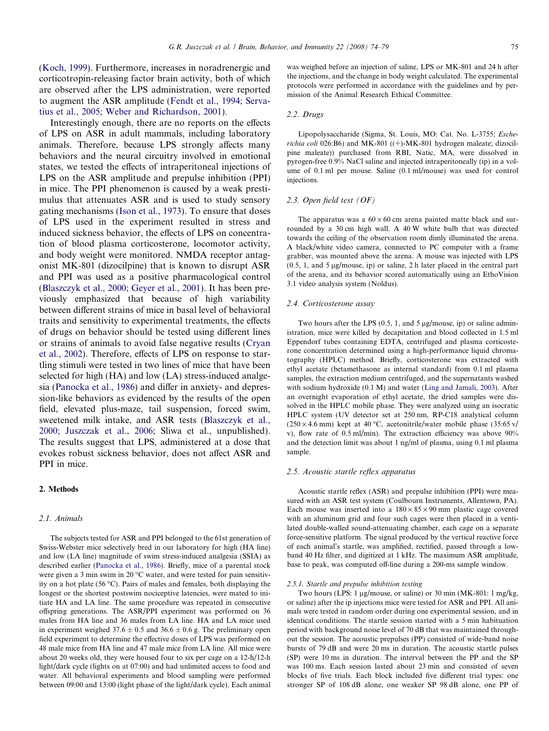([Koch, 1999\)](#page--1-0). Furthermore, increases in noradrenergic and corticotropin-releasing factor brain activity, both of which are observed after the LPS administration, were reported to augment the ASR amplitude ([Fendt et al., 1994; Serva](#page--1-0)[tius et al., 2005; Weber and Richardson, 2001\)](#page--1-0).

Interestingly enough, there are no reports on the effects of LPS on ASR in adult mammals, including laboratory animals. Therefore, because LPS strongly affects many behaviors and the neural circuitry involved in emotional states, we tested the effects of intraperitoneal injections of LPS on the ASR amplitude and prepulse inhibition (PPI) in mice. The PPI phenomenon is caused by a weak prestimulus that attenuates ASR and is used to study sensory gating mechanisms [\(Ison et al., 1973\)](#page--1-0). To ensure that doses of LPS used in the experiment resulted in stress and induced sickness behavior, the effects of LPS on concentration of blood plasma corticosterone, locomotor activity, and body weight were monitored. NMDA receptor antagonist MK-801 (dizocilpine) that is known to disrupt ASR and PPI was used as a positive pharmacological control ([Blaszczyk et al., 2000; Geyer et al., 2001\)](#page--1-0). It has been previously emphasized that because of high variability between different strains of mice in basal level of behavioral traits and sensitivity to experimental treatments, the effects of drugs on behavior should be tested using different lines or strains of animals to avoid false negative results [\(Cryan](#page--1-0) [et al., 2002](#page--1-0)). Therefore, effects of LPS on response to startling stimuli were tested in two lines of mice that have been selected for high (HA) and low (LA) stress-induced analgesia [\(Panocka et al., 1986](#page--1-0)) and differ in anxiety- and depression-like behaviors as evidenced by the results of the open field, elevated plus-maze, tail suspension, forced swim, sweetened milk intake, and ASR tests [\(Blaszczyk et al.,](#page--1-0) [2000; Juszczak et al., 2006;](#page--1-0) Sliwa et al., unpublished). The results suggest that LPS, administered at a dose that evokes robust sickness behavior, does not affect ASR and PPI in mice.

## 2. Methods

#### 2.1. Animals

The subjects tested for ASR and PPI belonged to the 61st generation of Swiss-Webster mice selectively bred in our laboratory for high (HA line) and low (LA line) magnitude of swim stress-induced analgesia (SSIA) as described earlier [\(Panocka et al., 1986\)](#page--1-0). Briefly, mice of a parental stock were given a 3 min swim in 20 $\degree$ C water, and were tested for pain sensitivity on a hot plate (56 °C). Pairs of males and females, both displaying the longest or the shortest postswim nociceptive latencies, were mated to initiate HA and LA line. The same procedure was repeated in consecutive offspring generations. The ASR/PPI experiment was performed on 36 males from HA line and 36 males from LA line. HA and LA mice used in experiment weighed  $37.6 \pm 0.5$  and  $36.6 \pm 0.6$  g. The preliminary open field experiment to determine the effective doses of LPS was performed on 48 male mice from HA line and 47 male mice from LA line. All mice were about 20 weeks old, they were housed four to six per cage on a 12-h/12-h light/dark cycle (lights on at 07:00) and had unlimited access to food and water. All behavioral experiments and blood sampling were performed between 09:00 and 13:00 (light phase of the light/dark cycle). Each animal was weighed before an injection of saline, LPS or MK-801 and 24 h after the injections, and the change in body weight calculated. The experimental protocols were performed in accordance with the guidelines and by permission of the Animal Research Ethical Committee.

#### 2.2. Drugs

Lipopolysaccharide (Sigma, St. Louis, MO: Cat. No. L-3755; Escherichia coli 026:B6) and MK-801 ((+)-MK-801 hydrogen maleate; dizocilpine maleate)) purchased from RBI, Natic, MA, were dissolved in pyrogen-free 0.9% NaCl saline and injected intraperitoneally (ip) in a volume of 0.1 ml per mouse. Saline (0.1 ml/mouse) was used for control injections.

#### 2.3. Open field test (OF)

The apparatus was a  $60 \times 60$  cm arena painted matte black and surrounded by a 30 cm high wall. A 40 W white bulb that was directed towards the ceiling of the observation room dimly illuminated the arena. A black/white video camera, connected to PC computer with a frame grabber, was mounted above the arena. A mouse was injected with LPS  $(0.5, 1,$  and  $5 \mu$ g/mouse, ip) or saline, 2 h later placed in the central part of the arena, and its behavior scored automatically using an EthoVision 3.1 video analysis system (Noldus).

#### 2.4. Corticosterone assay

Two hours after the LPS  $(0.5, 1, \text{ and } 5 \mu\text{g/mouse}, \text{ip})$  or saline administration, mice were killed by decapitation and blood collected in 1.5 ml Eppendorf tubes containing EDTA, centrifuged and plasma corticosterone concentration determined using a high-performance liquid chromatography (HPLC) method. Briefly, corticosterone was extracted with ethyl acetate (betamethasone as internal standard) from 0.1 ml plasma samples, the extraction medium centrifuged, and the supernatants washed with sodium hydroxide (0.1 M) and water ([Ling and Jamali, 2003](#page--1-0)). After an overnight evaporation of ethyl acetate, the dried samples were dissolved in the HPLC mobile phase. They were analyzed using an isocratic HPLC system (UV detector set at 250 nm, RP-C18 analytical column  $(250 \times 4.6 \text{ mm})$  kept at 40 °C, acetonitrile/water mobile phase  $(35:65 \text{ v})$ v), flow rate of 0.5 ml/min). The extraction efficiency was above 90% and the detection limit was about 1 ng/ml of plasma, using 0.1 ml plasma sample.

#### 2.5. Acoustic startle reflex apparatus

Acoustic startle reflex (ASR) and prepulse inhibition (PPI) were measured with an ASR test system (Coulbourn Instruments, Allentown, PA). Each mouse was inserted into a  $180 \times 85 \times 90$  mm plastic cage covered with an aluminum grid and four such cages were then placed in a ventilated double-walled sound-attenuating chamber, each cage on a separate force-sensitive platform. The signal produced by the vertical reactive force of each animal's startle, was amplified, rectified, passed through a lowband 40 Hz filter, and digitized at 1 kHz. The maximum ASR amplitude, base to peak, was computed off-line during a 200-ms sample window.

#### 2.5.1. Startle and prepulse inhibition testing

Two hours (LPS: 1 µg/mouse, or saline) or 30 min (MK-801: 1 mg/kg, or saline) after the ip injections mice were tested for ASR and PPI. All animals were tested in random order during one experimental session, and in identical conditions. The startle session started with a 5 min habituation period with background noise level of 70 dB that was maintained throughout the session. The acoustic prepulses (PP) consisted of wide-band noise bursts of 79 dB and were 20 ms in duration. The acoustic startle pulses (SP) were 10 ms in duration. The interval between the PP and the SP was 100 ms. Each session lasted about 23 min and consisted of seven blocks of five trials. Each block included five different trial types: one stronger SP of 108 dB alone, one weaker SP 98 dB alone, one PP of